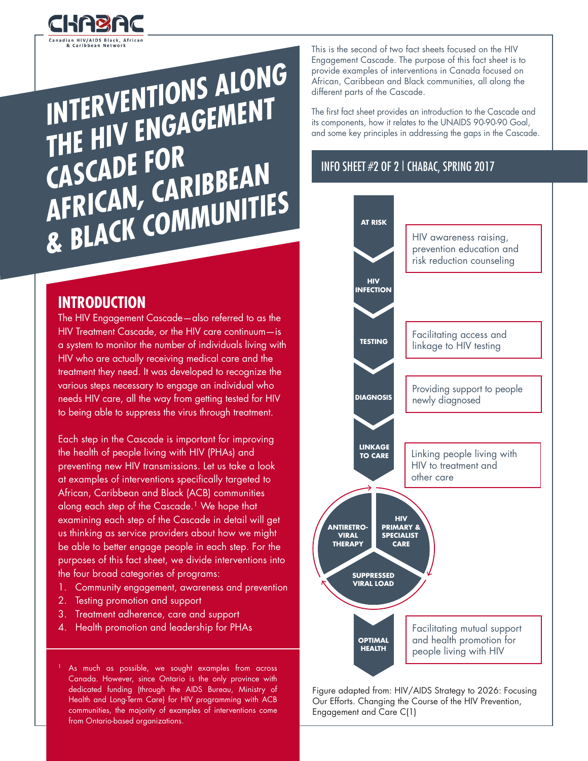

**INTERVENTIONS ALONG THE HIV ENGAGEMENT CASCADE FOR AFRICAN, CARIBBEAN & BLACK COMMUNITIES** 

# **INTRODUCTION**

The HIV Engagement Cascade—also referred to as the HIV Treatment Cascade, or the HIV care continuum—is a system to monitor the number of individuals living with HIV who are actually receiving medical care and the treatment they need. It was developed to recognize the various steps necessary to engage an individual who needs HIV care, all the way from getting tested for HIV to being able to suppress the virus through treatment.

Each step in the Cascade is important for improving the health of people living with HIV (PHAs) and preventing new HIV transmissions. Let us take a look at examples of interventions specifically targeted to African, Caribbean and Black (ACB) communities along each step of the Cascade.<sup>1</sup> We hope that examining each step of the Cascade in detail will get us thinking as service providers about how we might be able to better engage people in each step. For the purposes of this fact sheet, we divide interventions into the four broad categories of programs:

- 1. Community engagement, awareness and prevention
- 2. Testing promotion and support
- 3. Treatment adherence, care and support
- 4. Health promotion and leadership for PHAs

As much as possible, we sought examples from across Canada. However, since Ontario is the only province with dedicated funding (through the AIDS Bureau, Ministry of Health and Long-Term Care) for HIV programming with ACB communities, the majority of examples of interventions come from Ontario-based organizations.

This is the second of two fact sheets focused on the HIV Engagement Cascade. The purpose of this fact sheet is to provide examples of interventions in Canada focused on African, Caribbean and Black communities, all along the different parts of the Cascade.

The first fact sheet provides an introduction to the Cascade and its components, how it relates to the UNAIDS 90-90-90 Goal, and some key principles in addressing the gaps in the Cascade.

#### INFO SHEET #2 OF 2 | CHABAC, SPRING 2017



Figure adapted from: HIV/AIDS Strategy to 2026: Focusing Our Efforts. Changing the Course of the HIV Prevention, Engagement and Care C(1)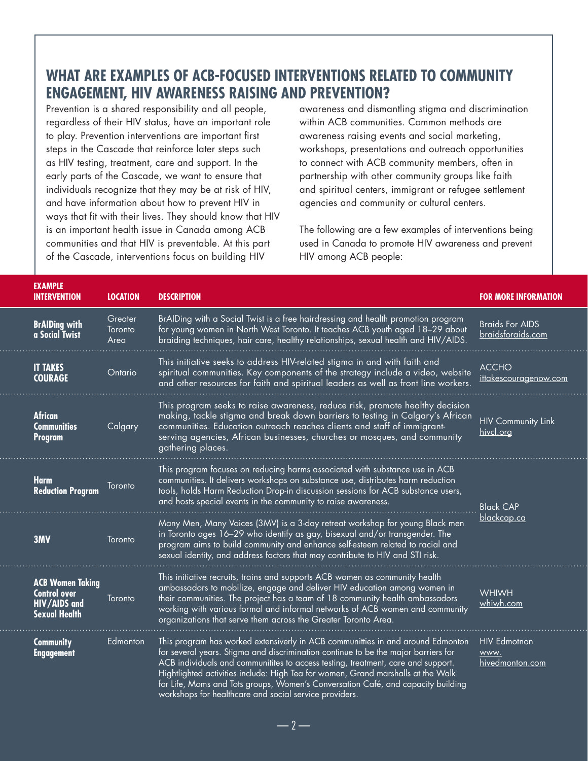## **WHAT ARE EXAMPLES OF ACB-FOCUSED INTERVENTIONS RELATED TO COMMUNITY ENGAGEMENT, HIV AWARENESS RAISING AND PREVENTION?**

Prevention is a shared responsibility and all people, regardless of their HIV status, have an important role to play. Prevention interventions are important first steps in the Cascade that reinforce later steps such as HIV testing, treatment, care and support. In the early parts of the Cascade, we want to ensure that individuals recognize that they may be at risk of HIV, and have information about how to prevent HIV in ways that fit with their lives. They should know that HIV is an important health issue in Canada among ACB communities and that HIV is preventable. At this part of the Cascade, interventions focus on building HIV

awareness and dismantling stigma and discrimination within ACB communities. Common methods are awareness raising events and social marketing, workshops, presentations and outreach opportunities to connect with ACB community members, often in partnership with other community groups like faith and spiritual centers, immigrant or refugee settlement agencies and community or cultural centers.

The following are a few examples of interventions being used in Canada to promote HIV awareness and prevent HIV among ACB people:

| <b>EXAMPLE</b><br><b>INTERVENTION</b>                                                  | <b>LOCATION</b>                                                                                                                                                                                                                                                                      | <b>DESCRIPTION</b>                                                                                                                                                                                                                                                                                                                                                                                                                                                                          | <b>FOR MORE INFORMATION</b>                                  |  |
|----------------------------------------------------------------------------------------|--------------------------------------------------------------------------------------------------------------------------------------------------------------------------------------------------------------------------------------------------------------------------------------|---------------------------------------------------------------------------------------------------------------------------------------------------------------------------------------------------------------------------------------------------------------------------------------------------------------------------------------------------------------------------------------------------------------------------------------------------------------------------------------------|--------------------------------------------------------------|--|
| <b>BrAlDing with</b><br>a Social Twist                                                 | BrAIDing with a Social Twist is a free hairdressing and health promotion program<br>Greater<br>for young women in North West Toronto. It teaches ACB youth aged 18-29 about<br>Toronto<br>braiding techniques, hair care, healthy relationships, sexual health and HIV/AIDS.<br>Area |                                                                                                                                                                                                                                                                                                                                                                                                                                                                                             | <b>Braids For AIDS</b><br>braidsforaids.com                  |  |
| <b>IT TAKES</b><br><b>COURAGE</b>                                                      | Ontario                                                                                                                                                                                                                                                                              | This initiative seeks to address HIV-related stigma in and with faith and<br>spiritual communities. Key components of the strategy include a video, website<br>and other resources for faith and spiritual leaders as well as front line workers.                                                                                                                                                                                                                                           | <b>ACCHO</b><br><u>ittakescouragenow.com</u>                 |  |
| <b>African</b><br><b>Communities</b><br>Program                                        | Calgary                                                                                                                                                                                                                                                                              | This program seeks to raise awareness, reduce risk, promote healthy decision<br>making, tackle stigma and break down barriers to testing in Calgary's African<br>communities. Education outreach reaches clients and staff of immigrant-<br>serving agencies, African businesses, churches or mosques, and community<br>gathering places.                                                                                                                                                   | <b>HIV Community Link</b><br>hivcl.org                       |  |
| <b>Harm</b><br><b>Reduction Program</b>                                                | Toronto                                                                                                                                                                                                                                                                              | This program focuses on reducing harms associated with substance use in ACB<br>communities. It delivers workshops on substance use, distributes harm reduction<br>tools, holds Harm Reduction Drop-in discussion sessions for ACB substance users,<br>and hosts special events in the community to raise awareness.                                                                                                                                                                         | <b>Black CAP</b><br><u>blackcap.ca</u><br>WHIWH<br>whiwh.com |  |
| 3MV                                                                                    | Toronto                                                                                                                                                                                                                                                                              | Many Men, Many Voices (3MV) is a 3-day retreat workshop for young Black men<br>in Toronto ages 16–29 who identify as gay, bisexual and/or transgender. The<br>program aims to build community and enhance self-esteem related to racial and<br>sexual identity, and address factors that may contribute to HIV and STI risk.                                                                                                                                                                |                                                              |  |
| <b>ACB Women Taking</b><br><b>Control over</b><br>HIV/AIDS and<br><b>Sexual Health</b> | Toronto                                                                                                                                                                                                                                                                              | This initiative recruits, trains and supports ACB women as community health<br>ambassadors to mobilize, engage and deliver HIV education among women in<br>their communities. The project has a team of 18 community health ambassadors<br>working with various formal and informal networks of ACB women and community<br>organizations that serve them across the Greater Toronto Area.                                                                                                   |                                                              |  |
| <b>Community</b><br><b>Engagement</b>                                                  | Edmonton                                                                                                                                                                                                                                                                             | This program has worked extensiverly in ACB communitties in and around Edmonton<br>for several years. Stigma and discrimination continue to be the major barriers for<br>ACB individuals and communitites to access testing, treatment, care and support.<br>Hightlighted activities include: High Tea for women, Grand marshalls at the Walk<br>for Life, Moms and Tots groups, Women's Conversation Café, and capacity building<br>workshops for healthcare and social service providers. | <b>HIV Edmotnon</b><br>www.<br>hivedmonton.com               |  |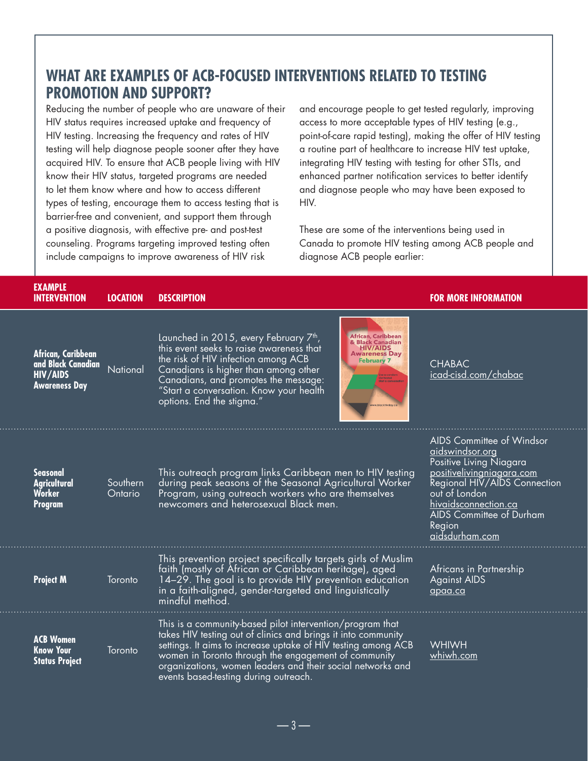# **WHAT ARE EXAMPLES OF ACB-FOCUSED INTERVENTIONS RELATED TO TESTING PROMOTION AND SUPPORT?**

Reducing the number of people who are unaware of their HIV status requires increased uptake and frequency of HIV testing. Increasing the frequency and rates of HIV testing will help diagnose people sooner after they have acquired HIV. To ensure that ACB people living with HIV know their HIV status, targeted programs are needed to let them know where and how to access different types of testing, encourage them to access testing that is barrier-free and convenient, and support them through a positive diagnosis, with effective pre- and post-test counseling. Programs targeting improved testing often include campaigns to improve awareness of HIV risk

and encourage people to get tested regularly, improving access to more acceptable types of HIV testing (e.g., point-of-care rapid testing), making the offer of HIV testing a routine part of healthcare to increase HIV test uptake, integrating HIV testing with testing for other STIs, and enhanced partner notification services to better identify and diagnose people who may have been exposed to HIV.

These are some of the interventions being used in Canada to promote HIV testing among ACB people and diagnose ACB people earlier:

| <b>EXAMPLE</b><br><b>INTERVENTION</b>                                               | <b>LOCATION</b>     | <b>DESCRIPTION</b>                                                                                                                                                                                                                                                                                                                                                                                                  | <b>FOR MORE INFORMATION</b>                                                                                                                                                                                                                  |
|-------------------------------------------------------------------------------------|---------------------|---------------------------------------------------------------------------------------------------------------------------------------------------------------------------------------------------------------------------------------------------------------------------------------------------------------------------------------------------------------------------------------------------------------------|----------------------------------------------------------------------------------------------------------------------------------------------------------------------------------------------------------------------------------------------|
| African, Caribbean<br>and Black Canadian<br><b>HIV/AIDS</b><br><b>Awareness Day</b> | National            | Launched in 2015, every February 7 <sup>th</sup> ,<br><b>African, Caribbean</b><br><b>Black Canadian</b><br>this event seeks to raise awareness that<br><b>HIV/AIDS</b><br><b>Awareness Day</b><br>the risk of HIV infection among ACB<br><b>February 7</b><br>Canadians is higher than among other<br>Canadians, and promotes the message:<br>"Start a conversation. Know your health<br>options. End the stigma." | <b>CHABAC</b><br>icad-cisd.com/chabac                                                                                                                                                                                                        |
| <b>Seasonal</b><br><b>Agricultural</b><br><b>Worker</b><br>Program                  | Southern<br>Ontario | This outreach program links Caribbean men to HIV testing<br>during peak seasons of the Seasonal Agricultural Worker<br>Program, using outreach workers who are themselves<br>newcomers and heterosexual Black men.                                                                                                                                                                                                  | AIDS Committee of Windsor<br><u>aidswindsor.org</u><br>Positive Living Niagara<br>positivelivingniagara.com<br>Regional HIV/AIDS Connection<br>out of London<br>hivaidsconnection.ca<br>AIDS Committee of Durham<br>Region<br>aidsdurham.com |
| <b>Project M</b>                                                                    | Toronto             | This prevention project specifically targets girls of Muslim<br>faith (mostly of African or Caribbean heritage), aged<br>14-29. The goal is to provide HIV prevention education<br>in a faith-aligned, gender-targeted and linguistically<br>mindful method.                                                                                                                                                        | <b>Africans in Partnership</b><br><b>Against AIDS</b><br>$q$ paa.ca                                                                                                                                                                          |
| <b>ACB Women</b><br><b>Know Your</b><br><b>Status Project</b>                       | Toronto             | This is a community-based pilot intervention/program that<br>takes HIV testing out of clinics and brings it into community<br>settings. It aims to increase uptake of HIV testing among ACB<br>women in Toronto through the engagement of community<br>organizations, women leaders and their social networks and<br>events based-testing during outreach.                                                          | <b>WHIWH</b><br><u>whiwh.com</u>                                                                                                                                                                                                             |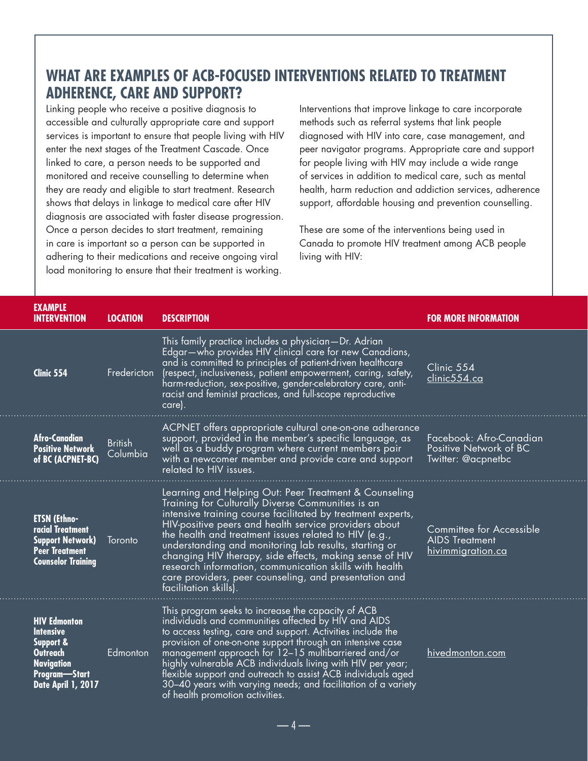## **WHAT ARE EXAMPLES OF ACB-FOCUSED INTERVENTIONS RELATED TO TREATMENT ADHERENCE, CARE AND SUPPORT?**

Linking people who receive a positive diagnosis to accessible and culturally appropriate care and support services is important to ensure that people living with HIV enter the next stages of the Treatment Cascade. Once linked to care, a person needs to be supported and monitored and receive counselling to determine when they are ready and eligible to start treatment. Research shows that delays in linkage to medical care after HIV diagnosis are associated with faster disease progression. Once a person decides to start treatment, remaining in care is important so a person can be supported in adhering to their medications and receive ongoing viral load monitoring to ensure that their treatment is working.

Interventions that improve linkage to care incorporate methods such as referral systems that link people diagnosed with HIV into care, case management, and peer navigator programs. Appropriate care and support for people living with HIV may include a wide range of services in addition to medical care, such as mental health, harm reduction and addiction services, adherence support, affordable housing and prevention counselling.

These are some of the interventions being used in Canada to promote HIV treatment among ACB people living with HIV:

| <b>EXAMPLE</b><br><b>INTERVENTION</b>                                                                                                          | <b>LOCATION</b>            | <b>DESCRIPTION</b>                                                                                                                                                                                                                                                                                                                                                                                                                                                                                                                                          | <b>FOR MORE INFORMATION</b>                                                   |
|------------------------------------------------------------------------------------------------------------------------------------------------|----------------------------|-------------------------------------------------------------------------------------------------------------------------------------------------------------------------------------------------------------------------------------------------------------------------------------------------------------------------------------------------------------------------------------------------------------------------------------------------------------------------------------------------------------------------------------------------------------|-------------------------------------------------------------------------------|
| Clinic 554                                                                                                                                     | Fredericton                | This family practice includes a physician-Dr. Adrian<br>Edgar-who provides HIV clinical care for new Canadians,<br>and is committed to principles of patient-driven healthcare<br>(respect, inclusiveness, patient empowerment, caring, safety,<br>harm-reduction, sex-positive, gender-celebratory care, anti-<br>racist and feminist practices, and full-scope reproductive<br>care).                                                                                                                                                                     | Clinic 554<br>clinic554.ca                                                    |
| <b>Afro-Canadian</b><br><b>Positive Network</b><br>of BC (ACPNET-BC)                                                                           | <b>British</b><br>Columbia | ACPNET offers appropriate cultural one-on-one adherance<br>support, provided in the member's specific language, as<br>well as a buddy program where current members pair<br>with a newcomer member and provide care and support<br>related to HIV issues.                                                                                                                                                                                                                                                                                                   | Facebook: Afro-Canadian<br>Positive Network of BC<br>Twitter: @acpnetbc       |
| <b>ETSN (Ethno-</b><br>racial Treatment<br><b>Support Network)</b><br><b>Peer Treatment</b><br><b>Counselor Training</b>                       | Toronto                    | Learning and Helping Out: Peer Treatment & Counseling<br>Training for Culturally Diverse Communities is an<br>intensive training course facilitated by treatment experts,<br>HIV-positive peers and health service providers about<br>the health and treatment issues related to HIV (e.g.,<br>understanding and monitoring lab results, starting or<br>changing HIV therapy, side effects, making sense of HIV<br>research information, communication skills with health<br>care providers, peer counseling, and presentation and<br>facilitation skills). | Committee for Accessible<br><b>AIDS</b> Treatment<br><u>hivimmigration.ca</u> |
| <b>HIV Edmonton</b><br><b>Intensive</b><br><b>Support &amp;</b><br><b>Outreach</b><br><b>Navigation</b><br>Program-Start<br>Date April 1, 2017 | Edmonton                   | This program seeks to increase the capacity of ACB<br>individuals and communities affected by HIV and AIDS<br>to access testing, care and support. Activities include the<br>provision of one-on-one support through an intensive case<br>management approach for 12-15 multibarriered and/or<br>highly vulnerable ACB individuals living with HIV per year;<br>flexible support and outreach to assist ACB individuals aged<br>30-40 years with varying needs; and facilitation of a variety<br>of health promotion activities.                            | hivedmonton.com                                                               |

— 4 —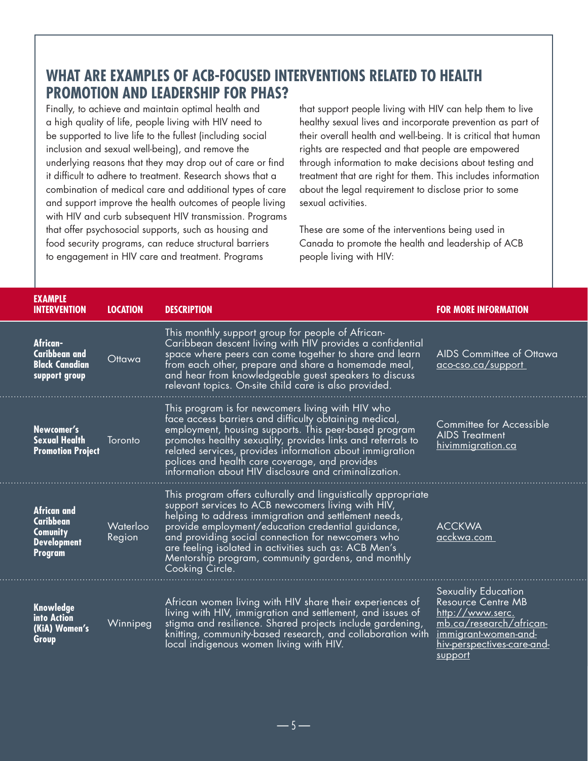# **WHAT ARE EXAMPLES OF ACB-FOCUSED INTERVENTIONS RELATED TO HEALTH PROMOTION AND LEADERSHIP FOR PHAS?**

Finally, to achieve and maintain optimal health and a high quality of life, people living with HIV need to be supported to live life to the fullest (including social inclusion and sexual well-being), and remove the underlying reasons that they may drop out of care or find it difficult to adhere to treatment. Research shows that a combination of medical care and additional types of care and support improve the health outcomes of people living with HIV and curb subsequent HIV transmission. Programs that offer psychosocial supports, such as housing and food security programs, can reduce structural barriers to engagement in HIV care and treatment. Programs

that support people living with HIV can help them to live healthy sexual lives and incorporate prevention as part of their overall health and well-being. It is critical that human rights are respected and that people are empowered through information to make decisions about testing and treatment that are right for them. This includes information about the legal requirement to disclose prior to some sexual activities.

These are some of the interventions being used in Canada to promote the health and leadership of ACB people living with HIV:

| <b>EXAMPLE</b><br><b>INTERVENTION</b>                                                      | <b>LOCATION</b>    | <b>DESCRIPTION</b>                                                                                                                                                                                                                                                                                                                                                                                                      | <b>FOR MORE INFORMATION</b>                                                                                                                                             |
|--------------------------------------------------------------------------------------------|--------------------|-------------------------------------------------------------------------------------------------------------------------------------------------------------------------------------------------------------------------------------------------------------------------------------------------------------------------------------------------------------------------------------------------------------------------|-------------------------------------------------------------------------------------------------------------------------------------------------------------------------|
| African-<br><b>Caribbean and</b><br><b>Black Canadian</b><br>support group                 | Ottawa             | This monthly support group for people of African-<br>Caribbean descent living with HIV provides a confidential<br>space where peers can come together to share and learn<br>from each other, prepare and share a homemade meal,<br>and hear from knowledgeable guest speakers to discuss<br>relevant topics. On-site child care is also provided.                                                                       | AIDS Committee of Ottawa<br>aco-cso.ca/support                                                                                                                          |
| Newcomer's<br><b>Sexual Health</b><br><b>Promotion Project</b>                             | Toronto            | This program is for newcomers living with HIV who<br>face access barriers and difficulty obtaining medical,<br>employment, housing supports. This peer-based program<br>promotes healthy sexuality, provides links and referrals to<br>related services, provides information about immigration<br>polices and health care coverage, and provides<br>information about HIV disclosure and criminalization.              | Committee for Accessible<br><b>AIDS Treatment</b><br>hivimmigration.ca                                                                                                  |
| <b>African and</b><br><b>Caribbean</b><br><b>Comunity</b><br><b>Development</b><br>Program | Waterloo<br>Region | This program offers culturally and linguistically appropriate<br>support services to ACB newcomers living with HIV,<br>helping to address immigration and settlement needs,<br>provide employment/education credential guidance,<br>and providing social connection for newcomers who<br>are feeling isolated in activities such as: ACB Men's<br>Mentorship program, community gardens, and monthly<br>Cooking Circle. | <b>ACCKWA</b><br>acckwa.com                                                                                                                                             |
| <b>Knowledge</b><br>into Action<br>(KiA) Women's<br>Group                                  | Winnipeg           | African women living with HIV share their experiences of<br>living with HIV, immigration and settlement, and issues of<br>stigma and resilience. Shared projects include gardening,<br>knitting, community-based research, and collaboration with<br>local indigenous women living with HIV.                                                                                                                            | <b>Sexuality Education</b><br>Resource Centre MB<br>http://www.serc.<br>mb.ca/research/african-<br>immigrant-women-and-<br><u>hiv-perspectives-care-and-</u><br>support |

 $-5-$